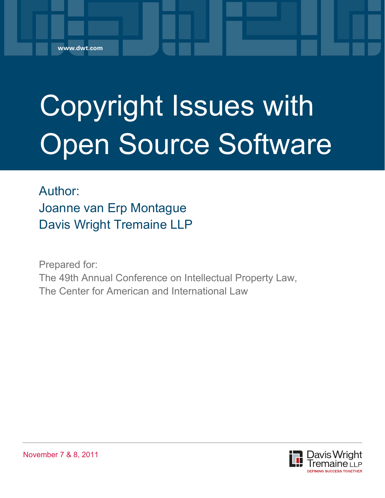# Copyright Issues with Open Source Software

### Author: Joanne van Erp Montague Davis Wright Tremaine LLP

Prepared for: The 49th Annual Conference on Intellectual Property Law, The Center for American and International Law

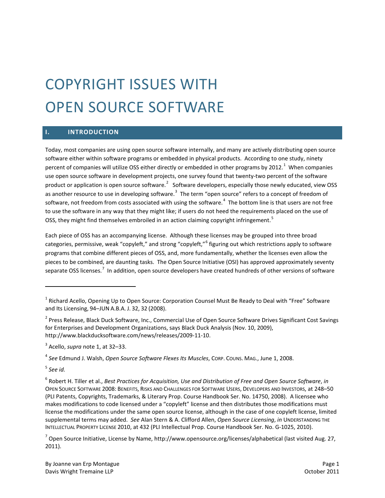## COPYRIGHT ISSUES WITH OPEN SOURCE SOFTWARE

#### **I. INTRODUCTION**

<span id="page-1-7"></span>Today, most companies are using open source software internally, and many are actively distributing open source software either within software programs or embedded in physical products. According to one study, ninety percent of companies will utilize OSS either directly or embedded in other programs by 20[1](#page-1-0)2.<sup>1</sup> When companies use open source software in development projects, one survey found that twenty-two percent of the software product or application is open source software.<sup>[2](#page-1-1)</sup> Software developers, especially those newly educated, view OSS as another resource to use in developing software.<sup>[3](#page-1-2)</sup> The term "open source" refers to a concept of freedom of software, not freedom from costs associated with using the software.<sup>[4](#page-1-3)</sup> The bottom line is that users are not free to use the software in any way that they might like; if users do not heed the requirements placed on the use of OSS, they might find themselves embroiled in an action claiming copyright infringement.<sup>[5](#page-1-4)</sup>

Each piece of OSS has an accompanying license. Although these licenses may be grouped into three broad categories, permissive, weak "copyleft," and strong "copyleft,"<sup>[6](#page-1-5)</sup> figuring out which restrictions apply to software programs that combine different pieces of OSS, and, more fundamentally, whether the licenses even allow the pieces to be combined, are daunting tasks. The Open Source Initiative (OSI) has approved approximately seventy separate OSS licenses.<sup>[7](#page-1-6)</sup> In addition, open source developers have created hundreds of other versions of software

<span id="page-1-4"></span><sup>5</sup> *See id.*

<span id="page-1-0"></span> $1$  Richard Acello, Opening Up to Open Source: Corporation Counsel Must Be Ready to Deal with "Free" Software and Its Licensing, 94–JUN A.B.A. J. 32, 32 (2008).

<span id="page-1-1"></span><sup>&</sup>lt;sup>2</sup> Press Release, Black Duck Software, Inc., Commercial Use of Open Source Software Drives Significant Cost Savings for Enterprises and Development Organizations, says Black Duck Analysis (Nov. 10, 2009), http://www.blackducksoftware.com/news/releases/2009-11-10.

<span id="page-1-2"></span><sup>3</sup> Acello, *supra* note 1, at 32–33.

<span id="page-1-3"></span><sup>4</sup> *See* Edmund J. Walsh, *Open Source Software Flexes Its Muscles*, CORP. COUNS. MAG., June 1, 2008.

<span id="page-1-5"></span><sup>6</sup> Robert H. Tiller et al., *Best Practices for Acquisition, Use and Distribution of Free and Open Source Software*, *in*  OPEN SOURCE SOFTWARE 2008: BENEFITS, RISKS AND CHALLENGES FOR SOFTWARE USERS, DEVELOPERS AND INVESTORS, at 248–50 (PLI Patents, Copyrights, Trademarks, & Literary Prop. Course Handbook Ser. No. 14750, 2008). A licensee who makes modifications to code licensed under a "copyleft" license and then distributes those modifications must license the modifications under the same open source license, although in the case of one copyleft license, limited supplemental terms may added. *See* Alan Stern & A. Clifford Allen, *Open Source Licensing*, *in* UNDERSTANDING THE INTELLECTUAL PROPERTY LICENSE 2010, at 432 (PLI Intellectual Prop. Course Handbook Ser. No. G-1025, 2010).

<span id="page-1-6"></span> $^7$  Open Source Initiative, License by Name, http://www.opensource.org/licenses/alphabetical (last visited Aug. 27, 2011).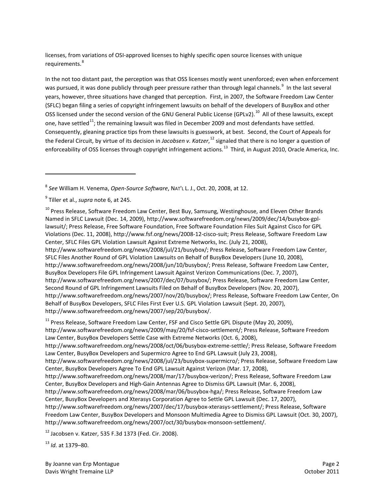licenses, from variations of OSI-approved licenses to highly specific open source licenses with unique requirements.<sup>[8](#page-1-7)</sup>

In the not too distant past, the perception was that OSS licenses mostly went unenforced; even when enforcement was pursued, it was done publicly through peer pressure rather than through legal channels.<sup>[9](#page-2-0)</sup> In the last several years, however, three situations have changed that perception. First, in 2007, the Software Freedom Law Center (SFLC) began filing a series of copyright infringement lawsuits on behalf of the developers of BusyBox and other OSS licensed under the second version of the GNU General Public License (GPLv2).<sup>10</sup> All of these lawsuits, except one, have settled<sup>[11](#page-2-2)</sup>; the remaining lawsuit was filed in December 2009 and most defendants have settled. Consequently, gleaning practice tips from these lawsuits is guesswork, at best. Second, the Court of Appeals for the Federal Circuit, by virtue of its decision in *Jacobsen v. Katzer*, [12](#page-2-3) signaled that there is no longer a question of enforceability of OSS licenses through copyright infringement actions.<sup>[13](#page-2-4)</sup> Third, in August 2010, Oracle America, Inc.

 $\overline{a}$ 

<span id="page-2-1"></span><sup>10</sup> Press Release, Software Freedom Law Center, Best Buy, Samsung, Westinghouse, and Eleven Other Brands Named in SFLC Lawsuit (Dec. 14, 2009), http://www.softwarefreedom.org/news/2009/dec/14/busybox-gpllawsuit/; Press Release, Free Software Foundation, Free Software Foundation Files Suit Against Cisco for GPL Violations (Dec. 11, 2008), http://www.fsf.org/news/2008-12-cisco-suit; Press Release, Software Freedom Law Center, SFLC Files GPL Violation Lawsuit Against Extreme Networks, Inc. (July 21, 2008), http://www.softwarefreedom.org/news/2008/jul/21/busybox/; Press Release, Software Freedom Law Center, SFLC Files Another Round of GPL Violation Lawsuits on Behalf of BusyBox Developers (June 10, 2008), http://www.softwarefreedom.org/news/2008/jun/10/busybox/; Press Release, Software Freedom Law Center, BusyBox Developers File GPL Infringement Lawsuit Against Verizon Communications (Dec. 7, 2007), http://www.softwarefreedom.org/news/2007/dec/07/busybox/; Press Release, Software Freedom Law Center, Second Round of GPL Infringement Lawsuits Filed on Behalf of BusyBox Developers (Nov. 20, 2007), http://www.softwarefreedom.org/news/2007/nov/20/busybox/; Press Release, Software Freedom Law Center, On Behalf of BusyBox Developers, SFLC Files First Ever U.S. GPL Violation Lawsuit (Sept. 20, 2007), http://www.softwarefreedom.org/news/2007/sep/20/busybox/.

<span id="page-2-5"></span><span id="page-2-2"></span><sup>11</sup> Press Release, Software Freedom Law Center, FSF and Cisco Settle GPL Dispute (May 20, 2009),

http://www.softwarefreedom.org/news/2009/may/20/fsf-cisco-settlement/; Press Release, Software Freedom Law Center, BusyBox Developers Settle Case with Extreme Networks (Oct. 6, 2008),

http://www.softwarefreedom.org/news/2008/oct/06/busybox-extreme-settle/; Press Release, Software Freedom Law Center, BusyBox Developers and Supermicro Agree to End GPL Lawsuit (July 23, 2008),

http://www.softwarefreedom.org/news/2008/jul/23/busybox-supermicro/; Press Release, Software Freedom Law Center, BusyBox Developers Agree To End GPL Lawsuit Against Verizon (Mar. 17, 2008),

http://www.softwarefreedom.org/news/2008/mar/06/busybox-hga/; Press Release, Software Freedom Law Center, BusyBox Developers and Xterasys Corporation Agree to Settle GPL Lawsuit (Dec. 17, 2007),

http://www.softwarefreedom.org/news/2007/dec/17/busybox-xterasys-settlement/; Press Release, Software Freedom Law Center, BusyBox Developers and Monsoon Multimedia Agree to Dismiss GPL Lawsuit (Oct. 30, 2007), http://www.softwarefreedom.org/news/2007/oct/30/busybox-monsoon-settlement/.

<span id="page-2-3"></span> $12$  Jacobsen v. Katzer, 535 F.3d 1373 (Fed. Cir. 2008).

<span id="page-2-4"></span><sup>13</sup> *Id.* at 1379–80.

<sup>8</sup> *See* William H. Venema, *Open-Source Software*, NAT'L L. J., Oct. 20, 2008, at 12.

<span id="page-2-0"></span><sup>9</sup> Tiller et al., *supra* note 6, at 245.

http://www.softwarefreedom.org/news/2008/mar/17/busybox-verizon/; Press Release, Software Freedom Law Center, BusyBox Developers and High-Gain Antennas Agree to Dismiss GPL Lawsuit (Mar. 6, 2008),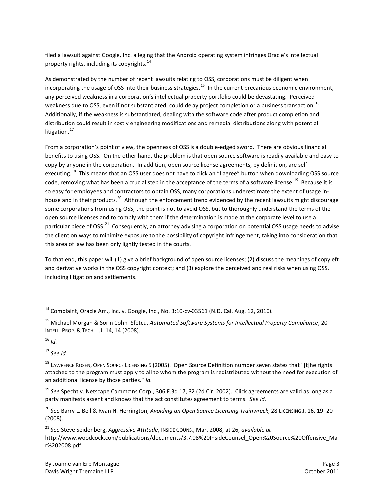filed a lawsuit against Google, Inc. alleging that the Android operating system infringes Oracle's intellectual property rights, including its copyrights.<sup>[14](#page-2-5)</sup>

As demonstrated by the number of recent lawsuits relating to OSS, corporations must be diligent when incorporating the usage of OSS into their business strategies.<sup>15</sup> In the current precarious economic environment, any perceived weakness in a corporation's intellectual property portfolio could be devastating. Perceived weakness due to OSS, even if not substantiated, could delay project completion or a business transaction.<sup>[16](#page-3-1)</sup> Additionally, if the weakness is substantiated, dealing with the software code after product completion and distribution could result in costly engineering modifications and remedial distributions along with potential litigation.<sup>[17](#page-3-2)</sup>

From a corporation's point of view, the openness of OSS is a double-edged sword. There are obvious financial benefits to using OSS. On the other hand, the problem is that open source software is readily available and easy to copy by anyone in the corporation. In addition, open source license agreements, by definition, are selfexecuting.<sup>18</sup> This means that an OSS user does not have to click an "I agree" button when downloading OSS source code, removing what has been a crucial step in the acceptance of the terms of a software license.<sup>[19](#page-3-4)</sup> Because it is so easy for employees and contractors to obtain OSS, many corporations underestimate the extent of usage in-house and in their products.<sup>[20](#page-3-5)</sup> Although the enforcement trend evidenced by the recent lawsuits might discourage some corporations from using OSS, the point is not to avoid OSS, but to thoroughly understand the terms of the open source licenses and to comply with them if the determination is made at the corporate level to use a particular piece of OSS.<sup>[21](#page-3-6)</sup> Consequently, an attorney advising a corporation on potential OSS usage needs to advise the client on ways to minimize exposure to the possibility of copyright infringement, taking into consideration that this area of law has been only lightly tested in the courts.

To that end, this paper will (1) give a brief background of open source licenses; (2) discuss the meanings of copyleft and derivative works in the OSS copyright context; and (3) explore the perceived and real risks when using OSS, including litigation and settlements.

<span id="page-3-1"></span> $16$  *Id.* 

 $\overline{a}$ 

<span id="page-3-2"></span><sup>17</sup> *See id.*

<span id="page-3-7"></span> $14$  Complaint, Oracle Am., Inc. v. Google, Inc., No. 3:10-cv-03561 (N.D. Cal. Aug. 12, 2010).

<span id="page-3-0"></span><sup>15</sup> Michael Morgan & Sorin Cohn–Sfetcu, *Automated Software Systems for Intellectual Property Compliance*, 20 INTELL. PROP. & TECH. L.J. 14, 14 (2008).

<span id="page-3-3"></span><sup>&</sup>lt;sup>18</sup> LAWRENCE ROSEN, OPEN SOURCE LICENSING 5 (2005). Open Source Definition number seven states that "[t]he rights attached to the program must apply to all to whom the program is redistributed without the need for execution of an additional license by those parties." *Id.*

<span id="page-3-4"></span><sup>19</sup> *See* Specht v. Netscape Commc'ns Corp., 306 F.3d 17, 32 (2d Cir. 2002). Click agreements are valid as long as a party manifests assent and knows that the act constitutes agreement to terms. *See id.*

<span id="page-3-5"></span><sup>20</sup> *See* Barry L. Bell & Ryan N. Herrington, *Avoiding an Open Source Licensing Trainwreck*, 28 LICENSING J. 16, 19–20 (2008).

<span id="page-3-6"></span><sup>21</sup> *See* Steve Seidenberg, *Aggressive Attitude*, INSIDE COUNS., Mar. 2008, at 26, *available at*  http://www.woodcock.com/publications/documents/3.7.08%20InsideCounsel\_Open%20Source%20Offensive\_Ma r%202008.pdf.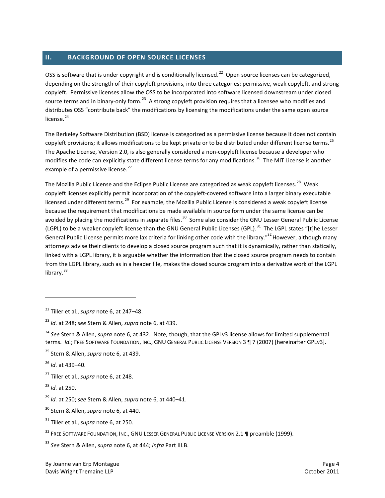#### **II. BACKGROUND OF OPEN SOURCE LICENSES**

OSS is software that is under copyright and is conditionally licensed.<sup>22</sup> Open source licenses can be categorized, depending on the strength of their copyleft provisions, into three categories: permissive, weak copyleft, and strong copyleft. Permissive licenses allow the OSS to be incorporated into software licensed downstream under closed source terms and in binary-only form.<sup>[23](#page-4-0)</sup> A strong copyleft provision requires that a licensee who modifies and distributes OSS "contribute back" the modifications by licensing the modifications under the same open source license.<sup>[24](#page-4-1)</sup>

The Berkeley Software Distribution (BSD) license is categorized as a permissive license because it does not contain copyleft provisions; it allows modifications to be kept private or to be distributed under different license terms.<sup>[25](#page-4-2)</sup> The Apache License, Version 2.0, is also generally considered a non-copyleft license because a developer who modifies the code can explicitly state different license terms for any modifications.<sup>[26](#page-4-3)</sup> The MIT License is another example of a permissive license.<sup>[27](#page-4-4)</sup>

<span id="page-4-11"></span>The Mozilla Public License and the Eclipse Public License are categorized as weak copyleft licenses.<sup>28</sup> Weak copyleft licenses explicitly permit incorporation of the copyleft-covered software into a larger binary executable licensed under different terms.<sup>[29](#page-4-6)</sup> For example, the Mozilla Public License is considered a weak copyleft license because the requirement that modifications be made available in source form under the same license can be avoided by placing the modifications in separate files.<sup>30</sup> Some also consider the GNU Lesser General Public License (LGPL) to be a weaker copyleft license than the GNU General Public Licenses (GPL).<sup>31</sup> The LGPL states "[t]he Lesser General Public License permits more lax criteria for linking other code with the library."<sup>32</sup> However, although many attorneys advise their clients to develop a closed source program such that it is dynamically, rather than statically, linked with a LGPL library, it is arguable whether the information that the closed source program needs to contain from the LGPL library, such as in a header file, makes the closed source program into a derivative work of the LGPL library.<sup>[33](#page-4-10)</sup>

<sup>22</sup> Tiller et al., *supra* note 6, at 247–48.

<span id="page-4-0"></span><sup>23</sup> *Id.* at 248; *see* Stern & Allen, *supra* note 6, at 439.

<span id="page-4-1"></span><sup>24</sup> *See* Stern & Allen, *supra* note 6, at 432. Note, though, that the GPLv3 license allows for limited supplemental terms. *Id.*; FREE SOFTWARE FOUNDATION, INC., GNU GENERAL PUBLIC LICENSE VERSION 3 ¶ 7 (2007) [hereinafter GPLV3].

<span id="page-4-2"></span><sup>25</sup> Stern & Allen, *supra* note 6, at 439.

<span id="page-4-3"></span><sup>26</sup> *Id.* at 439–40.

<span id="page-4-4"></span><sup>27</sup> Tiller et al., *supra* note 6, at 248.

<span id="page-4-5"></span><sup>28</sup> *Id.* at 250.

<span id="page-4-6"></span><sup>29</sup> *Id.* at 250; *see* Stern & Allen, *supra* note 6, at 440–41.

<span id="page-4-7"></span><sup>30</sup> Stern & Allen, *supra* note 6, at 440.

<span id="page-4-8"></span><sup>31</sup> Tiller et al., *supra* note 6, at 250.

<span id="page-4-9"></span><sup>&</sup>lt;sup>32</sup> FREE SOFTWARE FOUNDATION, INC., GNU LESSER GENERAL PUBLIC LICENSE VERSION 2.1 ¶ preamble (1999).

<span id="page-4-10"></span><sup>33</sup> *See* Stern & Allen, *supra* note 6, at 444; *infra* Part III.B.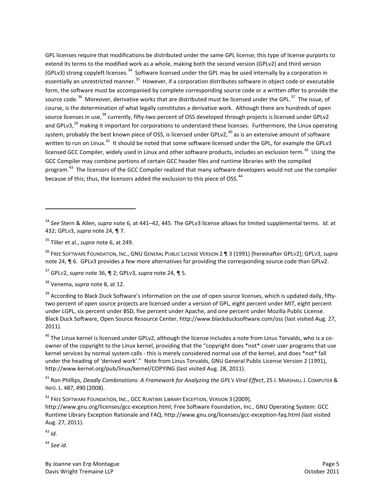GPL licenses require that modifications be distributed under the same GPL license; this type of license purports to extend its terms to the modified work as a whole, making both the second version (GPLv2) and third version (GPLv3) strong copyleft licenses.<sup>[34](#page-4-11)</sup> Software licensed under the GPL may be used internally by a corporation in essentially an unrestricted manner.<sup>[35](#page-5-0)</sup> However, if a corporation distributes software in object code or executable form, the software must be accompanied by complete corresponding source code or a written offer to provide the source code.<sup>36</sup> Moreover, derivative works that are distributed must be licensed under the GPL.<sup>37</sup> The issue, of course, is the determination of what legally constitutes a derivative work. Although there are hundreds of open source licenses in use,<sup>[38](#page-5-3)</sup> currently, fifty-two percent of OSS developed through projects is licensed under GPLv2 and GPLv3,<sup>[39](#page-5-4)</sup> making it important for corporations to understand these licenses. Furthermore, the Linux operating system, probably the best known piece of OSS, is licensed under GPLv2, $^{40}$  $^{40}$  $^{40}$  as is an extensive amount of software written to run on Linux.<sup>41</sup> It should be noted that some software licensed under the GPL, for example the GPLv3 licensed GCC Compiler, widely used in Linux and other software products, includes an exclusion term.<sup>42</sup> Using the GCC Compiler may combine portions of certain GCC header files and runtime libraries with the compiled program.<sup>43</sup> The licensors of the GCC Compiler realized that many software developers would not use the compiler because of this; thus, the licensors added the exclusion to this piece of OSS.<sup>44</sup>

 $\overline{a}$ 

<span id="page-5-1"></span>36 FREE SOFTWARE FOUNDATION, INC., GNU GENERAL PUBLIC LICENSE VERSION 2 ¶ 3 (1991) [hereinafter GPLV2]; GPLV3, *supra*  note 24, ¶ 6. GPLv3 provides a few more alternatives for providing the corresponding source code than GPLv2.

<span id="page-5-2"></span><sup>37</sup> GPLV2, *supra* note 36, ¶ 2; GPLV3, *supra* note 24, ¶ 5.

<span id="page-5-3"></span><sup>38</sup> Venema, *supra* note 8, at 12.

<span id="page-5-4"></span> $39$  According to Black Duck Software's information on the use of open source licenses, which is updated daily, fiftytwo percent of open source projects are licensed under a version of GPL, eight percent under MIT, eight percent under LGPL, six percent under BSD, five percent under Apache, and one percent under Mozilla Public License. Black Duck Software, Open Source Resource Center, http://www.blackducksoftware.com/oss (last visited Aug. 27, 2011).

<span id="page-5-10"></span><span id="page-5-5"></span><sup>40</sup> The Linux kernel is licensed under GPLv2, although the license includes a note from Linus Torvalds, who is a coowner of the copyright to the Linux kernel, providing that the "copyright does \*not\* cover user programs that use kernel services by normal system calls - this is merely considered normal use of the kernel, and does \*not\* fall under the heading of 'derived work'." Note from Linus Torvalds, GNU General Public License Version 2 (1991), http://www.kernel.org/pub/linux/kernel/COPYING (last visited Aug. 28, 2011).

<span id="page-5-6"></span><sup>41</sup> Ron Phillips, *Deadly Combinations: A Framework for Analyzing the GPL's Viral Effect*, 25 J. MARSHALL J. COMPUTER & INFO. L. 487, 490 (2008).

<span id="page-5-7"></span><sup>42</sup> FREE SOFTWARE FOUNDATION, INC., GCC RUNTIME LIBRARY EXCEPTION, VERSION 3 (2009),

http://www.gnu.org/licenses/gcc-exception.html; Free Software Foundation, Inc., GNU Operating System: GCC Runtime Library Exception Rationale and FAQ, http://www.gnu.org/licenses/gcc-exception-faq.html (last visited Aug. 27, 2011).

<span id="page-5-8"></span><sup>43</sup> *Id.*

<span id="page-5-9"></span><sup>44</sup> *See id.* 

<sup>34</sup> *See* Stern & Allen, *supra* note 6, at 441–42, 445. The GPLv3 license allows for limited supplemental terms. *Id.* at 432; GPLV3, *supra* note 24, ¶ 7.

<span id="page-5-0"></span><sup>35</sup> Tiller et al., *supra* note 6, at 249.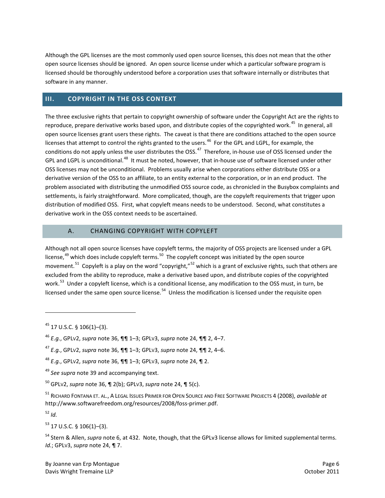Although the GPL licenses are the most commonly used open source licenses, this does not mean that the other open source licenses should be ignored. An open source license under which a particular software program is licensed should be thoroughly understood before a corporation uses that software internally or distributes that software in any manner.

#### **III. COPYRIGHT IN THE OSS CONTEXT**

The three exclusive rights that pertain to copyright ownership of software under the Copyright Act are the rights to reproduce, prepare derivative works based upon, and distribute copies of the copyrighted work.<sup>45</sup> In general, all open source licenses grant users these rights. The caveat is that there are conditions attached to the open source licenses that attempt to control the rights granted to the users.<sup>46</sup> For the GPL and LGPL, for example, the conditions do not apply unless the user distributes the OSS.<sup>[47](#page-6-1)</sup> Therefore, in-house use of OSS licensed under the GPL and LGPL is unconditional.<sup>48</sup> It must be noted, however, that in-house use of software licensed under other OSS licenses may not be unconditional. Problems usually arise when corporations either distribute OSS or a derivative version of the OSS to an affiliate, to an entity external to the corporation, or in an end product. The problem associated with distributing the unmodified OSS source code, as chronicled in the Busybox complaints and settlements, is fairly straightforward. More complicated, though, are the copyleft requirements that trigger upon distribution of modified OSS. First, what copyleft means needs to be understood. Second, what constitutes a derivative work in the OSS context needs to be ascertained.

#### A. CHANGING COPYRIGHT WITH COPYLEFT

Although not all open source licenses have copyleft terms, the majority of OSS projects are licensed under a GPL license.<sup>[49](#page-6-3)</sup> which does include copyleft terms.<sup>[50](#page-6-4)</sup> The copyleft concept was initiated by the open source movement.<sup>51</sup> Copyleft is a play on the word "copyright,"<sup>[52](#page-6-6)</sup> which is a grant of exclusive rights, such that others are excluded from the ability to reproduce, make a derivative based upon, and distribute copies of the copyrighted work.<sup>[53](#page-6-7)</sup> Under a copyleft license, which is a conditional license, any modification to the OSS must, in turn, be licensed under the same open source license.<sup>54</sup> Unless the modification is licensed under the requisite open

<span id="page-6-6"></span> $52$  *Id.* 

 $\overline{a}$ 

<span id="page-6-7"></span> $53$  17 U.S.C. § 106(1)–(3).

<span id="page-6-8"></span><sup>54</sup> Stern & Allen, *supra* note 6, at 432. Note, though, that the GPLv3 license allows for limited supplemental terms. *Id.*; GPLV3, *supra* note 24, ¶ 7.

 $45$  17 U.S.C. § 106(1)–(3).

<span id="page-6-0"></span><sup>46</sup> *E.g.*, GPLV2, *supra* note 36, ¶¶ 1–3; GPLV3, *supra* note 24, ¶¶ 2, 4–7.

<span id="page-6-9"></span><span id="page-6-1"></span><sup>47</sup> *E.g.*, GPLV2, *supra* note 36, ¶¶ 1–3; GPLV3, *supra* note 24, ¶¶ 2, 4–6.

<span id="page-6-2"></span><sup>48</sup> *E.g.*, GPLV2, *supra* note 36, ¶¶ 1–3; GPLV3, *supra* note 24, ¶ 2.

<span id="page-6-3"></span><sup>49</sup> *See supra* note 39 and accompanying text.

<span id="page-6-4"></span><sup>50</sup> GPLV2, *supra* note 36, ¶ 2(b); GPLV3, *supra* note 24, ¶ 5(c).

<span id="page-6-5"></span><sup>51</sup> RICHARD FONTANA ET. AL., A LEGAL ISSUES PRIMER FOR OPEN SOURCE AND FREE SOFTWARE PROJECTS 4 (2008), *available at*  http://www.softwarefreedom.org/resources/2008/foss-primer.pdf.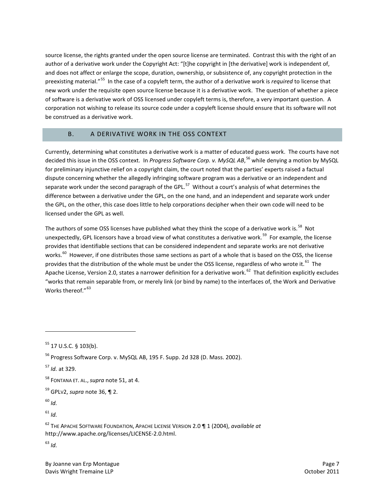source license, the rights granted under the open source license are terminated. Contrast this with the right of an author of a derivative work under the Copyright Act: "[t]he copyright in [the derivative] work is independent of, and does not affect or enlarge the scope, duration, ownership, or subsistence of, any copyright protection in the preexisting material."[55](#page-6-9) In the case of a copyleft term, the author of a derivative work is *required* to license that new work under the requisite open source license because it is a derivative work. The question of whether a piece of software is a derivative work of OSS licensed under copyleft terms is, therefore, a very important question. A corporation not wishing to release its source code under a copyleft license should ensure that its software will not be construed as a derivative work.

#### B. A DERIVATIVE WORK IN THE OSS CONTEXT

Currently, determining what constitutes a derivative work is a matter of educated guess work. The courts have not decided this issue in the OSS context. In *Progress Software Corp. v. MySQL AB*, [56](#page-7-0) while denying a motion by MySQL for preliminary injunctive relief on a copyright claim, the court noted that the parties' experts raised a factual dispute concerning whether the allegedly infringing software program was a derivative or an independent and separate work under the second paragraph of the GPL.<sup>57</sup> Without a court's analysis of what determines the difference between a derivative under the GPL, on the one hand, and an independent and separate work under the GPL, on the other, this case does little to help corporations decipher when their own code will need to be licensed under the GPL as well.

<span id="page-7-8"></span>The authors of some OSS licenses have published what they think the scope of a derivative work is.<sup>58</sup> Not unexpectedly, GPL licensors have a broad view of what constitutes a derivative work.<sup>[59](#page-7-3)</sup> For example, the license provides that identifiable sections that can be considered independent and separate works are not derivative works.<sup>60</sup> However, if one distributes those same sections as part of a whole that is based on the OSS, the license provides that the distribution of the whole must be under the OSS license, regardless of who wrote it.<sup>61</sup> The Apache License, Version 2.0, states a narrower definition for a derivative work.<sup>62</sup> That definition explicitly excludes "works that remain separable from, or merely link (or bind by name) to the interfaces of, the Work and Derivative Works thereof."<sup>[63](#page-7-7)</sup>

<span id="page-7-4"></span><sup>60</sup> *Id.*

 $\overline{a}$ 

<span id="page-7-5"></span> $61$  *Id.* 

<span id="page-7-6"></span>62 THE APACHE SOFTWARE FOUNDATION, APACHE LICENSE VERSION 2.0 ¶ 1 (2004), *available at* http://www.apache.org/licenses/LICENSE-2.0.html.

<span id="page-7-7"></span><sup>63</sup> *Id.*

 $55$  17 U.S.C. § 103(b).

<span id="page-7-0"></span><sup>56</sup> Progress Software Corp. v. MySQL AB, 195 F. Supp. 2d 328 (D. Mass. 2002).

<span id="page-7-1"></span><sup>57</sup> *Id.* at 329.

<span id="page-7-2"></span><sup>58</sup> FONTANA ET. AL.,*supra* note 51, at 4.

<span id="page-7-3"></span><sup>59</sup> GPLV2, *supra* note 36, ¶ 2.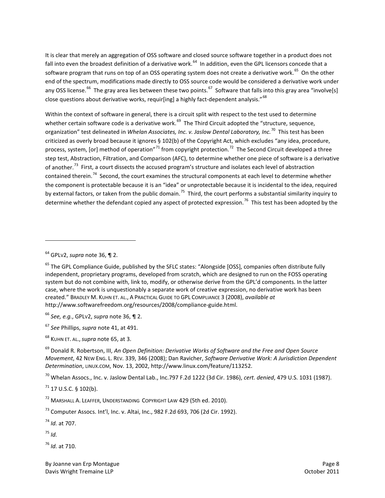It is clear that merely an aggregation of OSS software and closed source software together in a product does not fall into even the broadest definition of a derivative work.<sup>[64](#page-7-8)</sup> In addition, even the GPL licensors concede that a software program that runs on top of an OSS operating system does not create a derivative work.<sup>65</sup> On the other end of the spectrum, modifications made directly to OSS source code would be considered a derivative work under any OSS license.<sup>[66](#page-8-1)</sup> The gray area lies between these two points.<sup>67</sup> Software that falls into this gray area "involve[s] close questions about derivative works, requir[ing] a highly fact-dependent analysis." $68$ 

Within the context of software in general, there is a circuit split with respect to the test used to determine whether certain software code is a derivative work.<sup>69</sup> The Third Circuit adopted the "structure, sequence, organization" test delineated in *Whelan Associates, Inc. v. Jaslow Dental Laboratory, Inc.*[70](#page-8-5) This test has been criticized as overly broad because it ignores § 102(b) of the Copyright Act, which excludes "any idea, procedure, process, system, [or] method of operation"<sup>[71](#page-8-6)</sup> from copyright protection.<sup>72</sup> The Second Circuit developed a three step test, Abstraction, Filtration, and Comparison (AFC), to determine whether one piece of software is a derivative of another.<sup>[73](#page-8-8)</sup> First, a court dissects the accused program's structure and isolates each level of abstraction contained therein.<sup>[74](#page-8-9)</sup> Second, the court examines the structural components at each level to determine whether the component is protectable because it is an "idea" or unprotectable because it is incidental to the idea, required by external factors, or taken from the public domain.<sup>[75](#page-8-10)</sup> Third, the court performs a substantial similarity inquiry to determine whether the defendant copied any aspect of protected expression.<sup>[76](#page-8-11)</sup> This test has been adopted by the

 $\overline{a}$ 

<span id="page-8-3"></span>68 KUHN ET. AL.,*supra* note 65, at 3.

<span id="page-8-9"></span><sup>74</sup> *Id.* at 707.

<span id="page-8-10"></span><sup>75</sup> *Id.*

<span id="page-8-11"></span><sup>76</sup> *Id.* at 710.

<sup>64</sup> GPLV2, *supra* note 36, ¶ 2.

<span id="page-8-12"></span><span id="page-8-0"></span><sup>&</sup>lt;sup>65</sup> The GPL Compliance Guide, published by the SFLC states: "Alongside [OSS], companies often distribute fully independent, proprietary programs, developed from scratch, which are designed to run on the FOSS operating system but do not combine with, link to, modify, or otherwise derive from the GPL'd components. In the latter case, where the work is unquestionably a separate work of creative expression, no derivative work has been created." BRADLEY M. KUHN ET. AL., A PRACTICAL GUIDE TO GPL COMPLIANCE 3 (2008), *available at*  http://www.softwarefreedom.org/resources/2008/compliance-guide.html.

<span id="page-8-1"></span><sup>66</sup> *See, e.g.*, GPLV2, *supra* note 36, ¶ 2.

<span id="page-8-2"></span><sup>67</sup> *See* Phillips, *supra* note 41, at 491.

<span id="page-8-4"></span><sup>69</sup> Donald R. Robertson, III, *An Open Definition: Derivative Works of Software and the Free and Open Source Movement*, 42 NEW ENG. L. REV. 339, 346 (2008); Dan Ravicher, *Software Derivative Work: A Jurisdiction Dependent Determination*, LINUX.COM, Nov. 13, 2002, http://www.linux.com/feature/113252.

<span id="page-8-5"></span><sup>70</sup> Whelan Assocs., Inc. v. Jaslow Dental Lab., Inc.797 F.2d 1222 (3d Cir. 1986), *cert. denied*, 479 U.S. 1031 (1987).

<span id="page-8-6"></span> $71$  17 U.S.C. § 102(b).

<span id="page-8-7"></span><sup>72</sup> MARSHALL A. LEAFFER, UNDERSTANDING COPYRIGHT LAW 429 (5th ed. 2010).

<span id="page-8-8"></span> $^{73}$  Computer Assocs. Int'l, Inc. v. Altai, Inc., 982 F.2d 693, 706 (2d Cir. 1992).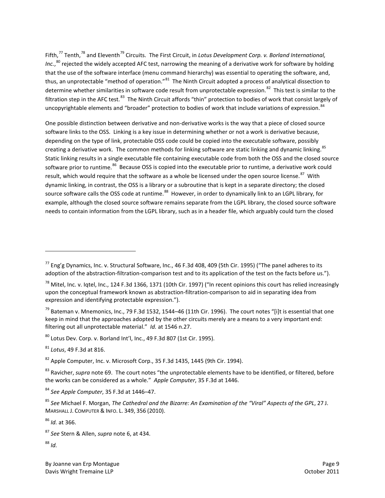Fifth,<sup>[77](#page-8-12)</sup> Tenth,<sup>[78](#page-9-0)</sup> and Eleventh<sup>[79](#page-9-1)</sup> Circuits. The First Circuit, in *Lotus Development Corp. v. Borland International, Inc.*, [80](#page-9-2) rejected the widely accepted AFC test, narrowing the meaning of a derivative work for software by holding that the use of the software interface (menu command hierarchy) was essential to operating the software, and, thus, an unprotectable "method of operation."<sup>81</sup> The Ninth Circuit adopted a process of analytical dissection to determine whether similarities in software code result from unprotectable expression.<sup>82</sup> This test is similar to the filtration step in the AFC test.<sup>[83](#page-9-5)</sup> The Ninth Circuit affords "thin" protection to bodies of work that consist largely of uncopyrightable elements and "broader" protection to bodies of work that include variations of expression. [84](#page-9-6)

One possible distinction between derivative and non-derivative works is the way that a piece of closed source software links to the OSS. Linking is a key issue in determining whether or not a work is derivative because, depending on the type of link, protectable OSS code could be copied into the executable software, possibly creating a derivative work. The common methods for linking software are static linking and dynamic linking.<sup>85</sup> Static linking results in a single executable file containing executable code from both the OSS and the closed source software prior to runtime.<sup>[86](#page-9-8)</sup> Because OSS is copied into the executable prior to runtime, a derivative work could result, which would require that the software as a whole be licensed under the open source license.<sup>[87](#page-9-9)</sup> With dynamic linking, in contrast, the OSS is a library or a subroutine that is kept in a separate directory; the closed source software calls the OSS code at runtime.<sup>88</sup> However, in order to dynamically link to an LGPL library, for example, although the closed source software remains separate from the LGPL library, the closed source software needs to contain information from the LGPL library, such as in a header file, which arguably could turn the closed

<span id="page-9-8"></span><sup>86</sup> *Id.* at 366.

<span id="page-9-10"></span><sup>88</sup> *Id.*

 $^{77}$  Eng'g Dynamics, Inc. v. Structural Software, Inc., 46 F.3d 408, 409 (5th Cir. 1995) ("The panel adheres to its adoption of the abstraction-filtration-comparison test and to its application of the test on the facts before us.").

<span id="page-9-11"></span><span id="page-9-0"></span> $^{78}$  Mitel, Inc. v. Igtel, Inc., 124 F.3d 1366, 1371 (10th Cir. 1997) ("In recent opinions this court has relied increasingly upon the conceptual framework known as abstraction-filtration-comparison to aid in separating idea from expression and identifying protectable expression.").

<span id="page-9-1"></span> $79$  Bateman v. Mnemonics, Inc., 79 F.3d 1532, 1544–46 (11th Cir. 1996). The court notes "[i]t is essential that one keep in mind that the approaches adopted by the other circuits merely are a means to a very important end: filtering out all unprotectable material." *Id.* at 1546 n.27.

<span id="page-9-2"></span> $80$  Lotus Dev. Corp. v. Borland Int'l, Inc., 49 F.3d 807 (1st Cir. 1995).

<span id="page-9-3"></span><sup>81</sup> *Lotus*, 49 F.3d at 816.

<span id="page-9-4"></span> $82$  Apple Computer, Inc. v. Microsoft Corp., 35 F.3d 1435, 1445 (9th Cir. 1994).

<span id="page-9-5"></span><sup>83</sup> Ravicher, *supra* note 69. The court notes "the unprotectable elements have to be identified, or filtered, before the works can be considered as a whole." *Apple Computer*, 35 F.3d at 1446.

<span id="page-9-6"></span><sup>84</sup> *See Apple Computer*, 35 F.3d at 1446–47.

<span id="page-9-7"></span><sup>85</sup> *See* Michael F. Morgan, *The Cathedral and the Bizarre: An Examination of the "Viral" Aspects of the GPL*, 27 J. MARSHALL J. COMPUTER & INFO. L. 349, 356 (2010).

<span id="page-9-9"></span><sup>87</sup> *See* Stern & Allen, *supra* note 6, at 434.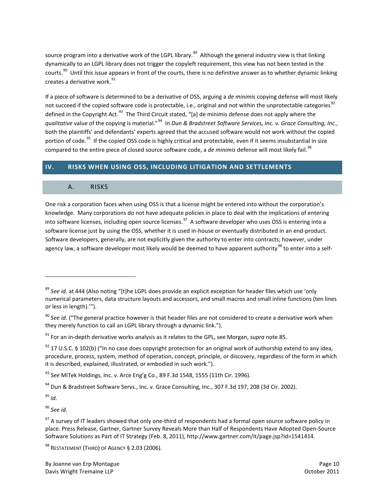source program into a derivative work of the LGPL library.<sup>89</sup> Although the general industry view is that linking dynamically to an LGPL library does not trigger the copyleft requirement, this view has not been tested in the courts.<sup>[90](#page-10-0)</sup> Until this issue appears in front of the courts, there is no definitive answer as to whether dynamic linking creates a derivative work.<sup>[91](#page-10-1)</sup>

If a piece of software is determined to be a derivative of OSS, arguing a *de minimis* copying defense will most likely not succeed if the copied software code is protectable, i.e., original and not within the unprotectable categories<sup>[92](#page-10-2)</sup> defined in the Copyright Act.<sup>93</sup> The Third Circuit stated, "[a] de minimis defense does not apply where the *qualitative* value of the copying is material."[94](#page-10-4) In *Dun & Bradstreet Software Services, Inc. v. Grace Consulting, Inc.*, both the plaintiffs' and defendants' experts agreed that the accused software would not work without the copied portion of code.<sup>[95](#page-10-5)</sup> If the copied OSS code is highly critical and protectable, even if it seems insubstantial in size compared to the entire piece of closed source software code, a *de minimis* defense will most likely fail.<sup>96</sup>

#### **IV. RISKS WHEN USING OSS, INCLUDING LITIGATION AND SETTLEMENTS**

#### A. RISKS

One risk a corporation faces when using OSS is that a license might be entered into without the corporation's knowledge. Many corporations do not have adequate policies in place to deal with the implications of entering into software licenses, including open source licenses.<sup>[97](#page-10-7)</sup> A software developer who uses OSS is entering into a software license just by using the OSS, whether it is used in-house or eventually distributed in an end-product. Software developers, generally, are not explicitly given the authority to enter into contracts; however, under agency law, a software developer most likely would be deemed to have apparent authority<sup>[98](#page-10-8)</sup> to enter into a self-

<span id="page-10-5"></span><sup>95</sup> *Id.*

 $\overline{a}$ 

<span id="page-10-6"></span><sup>96</sup> *See id.*

<span id="page-10-9"></span><sup>89</sup> *See id.* at 444 (Also noting "[t]he LGPL does provide an explicit exception for header files which use 'only numerical parameters, data structure layouts and accessors, and small macros and small inline functions (ten lines or less in length).'").

<span id="page-10-0"></span><sup>90</sup> *See id.* ("The general practice however is that header files are not considered to create a derivative work when they merely function to call an LGPL library through a dynamic link.").

<span id="page-10-1"></span><sup>91</sup> For an in-depth derivative works analysis as it relates to the GPL, see Morgan, *supra* note 85.

<span id="page-10-2"></span> $92$  17 U.S.C. § 102(b) ("In no case does copyright protection for an original work of authorship extend to any idea, procedure, process, system, method of operation, concept, principle, or discovery, regardless of the form in which it is described, explained, illustrated, or embodied in such work.").

<span id="page-10-3"></span><sup>93</sup> *See* MiTek Holdings, Inc. v. Arce Eng'g Co., 89 F.3d 1548, 1555 (11th Cir. 1996).

<span id="page-10-4"></span><sup>94</sup> Dun & Bradstreet Software Servs., Inc. v. Grace Consulting, Inc., 307 F.3d 197, 208 (3d Cir. 2002).

<span id="page-10-7"></span> $97$  A survey of IT leaders showed that only one-third of respondents had a formal open source software policy in place. Press Release, Gartner, Gartner Survey Reveals More than Half of Respondents Have Adopted Open-Source Software Solutions as Part of IT Strategy (Feb. 8, 2011), http://www.gartner.com/it/page.jsp?id=1541414.

<span id="page-10-8"></span><sup>98</sup> RESTATEMENT (THIRD) OF AGENCY § 2.03 (2006).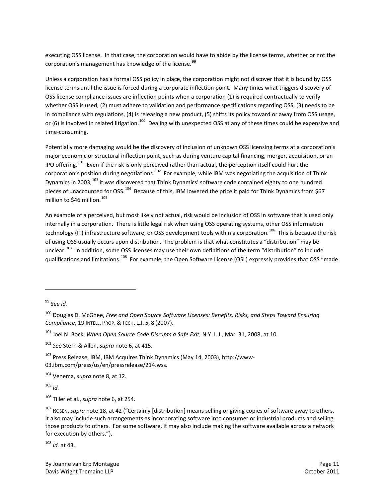executing OSS license. In that case, the corporation would have to abide by the license terms, whether or not the corporation's management has knowledge of the license.<sup>[99](#page-10-9)</sup>

Unless a corporation has a formal OSS policy in place, the corporation might not discover that it is bound by OSS license terms until the issue is forced during a corporate inflection point. Many times what triggers discovery of OSS license compliance issues are inflection points when a corporation (1) is required contractually to verify whether OSS is used, (2) must adhere to validation and performance specifications regarding OSS, (3) needs to be in compliance with regulations, (4) is releasing a new product, (5) shifts its policy toward or away from OSS usage, or (6) is involved in related litigation.<sup>[100](#page-11-0)</sup> Dealing with unexpected OSS at any of these times could be expensive and time-consuming.

Potentially more damaging would be the discovery of inclusion of unknown OSS licensing terms at a corporation's major economic or structural inflection point, such as during venture capital financing, merger, acquisition, or an IPO offering.<sup>[101](#page-11-1)</sup> Even if the risk is only perceived rather than actual, the perception itself could hurt the corporation's position during negotiations.<sup>102</sup> For example, while IBM was negotiating the acquisition of Think Dynamics in 2003,<sup>[103](#page-11-3)</sup> it was discovered that Think Dynamics' software code contained eighty to one hundred pieces of unaccounted for OSS.<sup>104</sup> Because of this, IBM lowered the price it paid for Think Dynamics from \$67 million to \$46 million.<sup>[105](#page-11-5)</sup>

An example of a perceived, but most likely not actual, risk would be inclusion of OSS in software that is used only internally in a corporation. There is little legal risk when using OSS operating systems, other OSS information technology (IT) infrastructure software, or OSS development tools within a corporation.<sup>106</sup> This is because the risk of using OSS usually occurs upon distribution. The problem is that what constitutes a "distribution" may be unclear.<sup>[107](#page-11-7)</sup> In addition, some OSS licenses may use their own definitions of the term "distribution" to include qualifications and limitations.<sup>108</sup> For example, the Open Software License (OSL) expressly provides that OSS "made

 $\overline{a}$ 

<span id="page-11-5"></span><sup>105</sup> *Id.*

<span id="page-11-8"></span><sup>108</sup> *Id.* at 43.

<sup>99</sup> *See id.* 

<span id="page-11-0"></span><sup>100</sup> Douglas D. McGhee, *Free and Open Source Software Licenses: Benefits, Risks, and Steps Toward Ensuring Compliance*, 19 INTELL. PROP. & TECH. L.J. 5, 8 (2007).

<span id="page-11-9"></span><span id="page-11-1"></span><sup>101</sup> Joel N. Bock, *When Open Source Code Disrupts a Safe Exit*, N.Y. L.J., Mar. 31, 2008, at 10.

<span id="page-11-2"></span><sup>102</sup> *See* Stern & Allen, *supra* note 6, at 415.

<span id="page-11-3"></span><sup>103</sup> Press Release, IBM, IBM Acquires Think Dynamics (May 14, 2003), http://www-03.ibm.com/press/us/en/pressrelease/214.wss.

<span id="page-11-4"></span><sup>104</sup> Venema, *supra* note 8, at 12.

<span id="page-11-6"></span><sup>106</sup> Tiller et al., *supra* note 6, at 254.

<span id="page-11-7"></span><sup>107</sup> ROSEN, *supra* note 18, at 42 ("Certainly [distribution] means selling or giving copies of software away to others. It also may include such arrangements as incorporating software into consumer or industrial products and selling those products to others. For some software, it may also include making the software available across a network for execution by others.").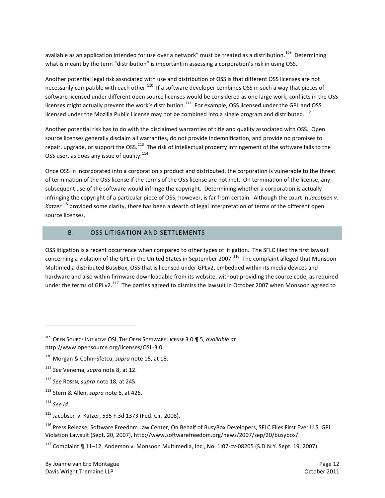available as an application intended for use over a network" must be treated as a distribution.<sup>109</sup> Determining what is meant by the term "distribution" is important in assessing a corporation's risk in using OSS.

Another potential legal risk associated with use and distribution of OSS is that different OSS licenses are not necessarily compatible with each other.<sup>110</sup> If a software developer combines OSS in such a way that pieces of software licensed under different open source licenses would be considered as one large work, conflicts in the OSS licenses might actually prevent the work's distribution.<sup>111</sup> For example, OSS licensed under the GPL and OSS licensed under the Mozilla Public License may not be combined into a single program and distributed.<sup>[112](#page-12-2)</sup>

Another potential risk has to do with the disclaimed warranties of title and quality associated with OSS. Open source licenses generally disclaim all warranties, do not provide indemnification, and provide no promises to repair, upgrade, or support the OSS.<sup>113</sup> The risk of intellectual property infringement of the software falls to the OSS user, as does any issue of quality.<sup>[114](#page-12-4)</sup>

Once OSS in incorporated into a corporation's product and distributed, the corporation is vulnerable to the threat of termination of the OSS license if the terms of the OSS license are not met. On termination of the license, any subsequent use of the software would infringe the copyright. Determining whether a corporation is actually infringing the copyright of a particular piece of OSS, however, is far from certain. Although the court in *Jacobsen v. Katzer*[115](#page-12-5) provided some clarity, there has been a dearth of legal interpretation of terms of the different open source licenses.

#### B. OSS LITIGATION AND SETTLEMENTS

<span id="page-12-8"></span>OSS litigation is a recent occurrence when compared to other types of litigation. The SFLC filed the first lawsuit concerning a violation of the GPL in the United States in September 2007.<sup>116</sup> The complaint alleged that Monsoon Multimedia distributed BusyBox, OSS that is licensed under GPLv2, embedded within its media devices and hardware and also within firmware downloadable from its website, without providing the source code, as required under the terms of GPLv2.<sup>117</sup> The parties agreed to dismiss the lawsuit in October 2007 when Monsoon agreed to

<sup>109</sup> OPEN SOURCE INITIATIVE OSI, THE OPEN SOFTWARE LICENSE 3.0 ¶ 5, *available at* http://www.opensource.org/licenses/OSL-3.0.

<span id="page-12-0"></span><sup>110</sup> Morgan & Cohn–Sfetcu, *supra* note 15, at 18.

<span id="page-12-1"></span><sup>111</sup> *See* Venema, *supra* note 8, at 12.

<span id="page-12-2"></span><sup>112</sup> *See* ROSEN, *supra* note 18, at 245.

<span id="page-12-3"></span><sup>113</sup> Stern & Allen, *supra* note 6, at 426.

<span id="page-12-4"></span><sup>114</sup> *See id.*

<span id="page-12-5"></span><sup>115</sup> Jacobsen v. Katzer, 535 F.3d 1373 (Fed. Cir. 2008).

<span id="page-12-6"></span><sup>&</sup>lt;sup>116</sup> Press Release, Software Freedom Law Center, On Behalf of BusyBox Developers, SFLC Files First Ever U.S. GPL Violation Lawsuit (Sept. 20, 2007), http://www.softwarefreedom.org/news/2007/sep/20/busybox/.

<span id="page-12-7"></span><sup>&</sup>lt;sup>117</sup> Complaint ¶ 11–12, Anderson v. Monsoon Multimedia, Inc., No. 1:07-cv-08205 (S.D.N.Y. Sept. 19, 2007).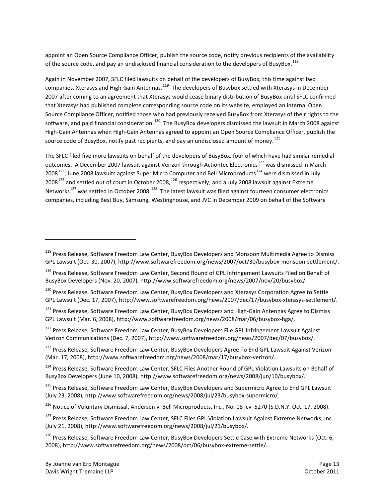appoint an Open Source Compliance Officer, publish the source code, notify previous recipients of the availability of the source code, and pay an undisclosed financial consideration to the developers of BusyBox.<sup>[118](#page-12-8)</sup>

Again in November 2007, SFLC filed lawsuits on behalf of the developers of BusyBox, this time against two companies, Xterasys and High-Gain Antennas.<sup>119</sup> The developers of Busybox settled with Xterasys in December 2007 after coming to an agreement that Xterasys would cease binary distribution of BusyBox until SFLC confirmed that Xterasys had published complete corresponding source code on its website, employed an internal Open Source Compliance Officer, notified those who had previously received BusyBox from Xterasys of their rights to the software, and paid financial consideration.<sup>[120](#page-13-1)</sup> The BusyBox developers dismissed the lawsuit in March 2008 against High-Gain Antennas when High-Gain Antennas agreed to appoint an Open Source Compliance Officer, publish the source code of BusyBox, notify past recipients, and pay an undisclosed amount of money.<sup>[121](#page-13-2)</sup>

The SFLC filed five more lawsuits on behalf of the developers of BusyBox, four of which have had similar remedial outcomes. A December 2007 lawsuit against Verizon through Actiontec Electronics<sup>[122](#page-13-3)</sup> was dismissed in March 2008<sup>[123](#page-13-4)</sup>; June 2008 lawsuits against Super Micro Computer and Bell Microproducts<sup>[124](#page-13-5)</sup> were dismissed in July 2008<sup>[125](#page-13-6)</sup> and settled out of court in October 2008,<sup>[126](#page-13-7)</sup> respectively; and a July 2008 lawsuit against Extreme Networks<sup>[127](#page-13-8)</sup> was settled in October 2008.<sup>[128](#page-13-9)</sup> The latest lawsuit was filed against fourteen consumer electronics companies, including Best Buy, Samsung, Westinghouse, and JVC in December 2009 on behalf of the Software

<sup>118</sup> Press Release, Software Freedom Law Center, BusyBox Developers and Monsoon Multimedia Agree to Dismiss GPL Lawsuit (Oct. 30, 2007), http://www.softwarefreedom.org/news/2007/oct/30/busybox-monsoon-settlement/.

<span id="page-13-0"></span><sup>&</sup>lt;sup>119</sup> Press Release, Software Freedom Law Center, Second Round of GPL Infringement Lawsuits Filed on Behalf of BusyBox Developers (Nov. 20, 2007), http://www.softwarefreedom.org/news/2007/nov/20/busybox/.

<span id="page-13-1"></span><sup>120</sup> Press Release, Software Freedom Law Center, BusyBox Developers and Xterasys Corporation Agree to Settle GPL Lawsuit (Dec. 17, 2007), http://www.softwarefreedom.org/news/2007/dec/17/busybox-xterasys-settlement/.

<span id="page-13-10"></span><span id="page-13-2"></span><sup>&</sup>lt;sup>121</sup> Press Release, Software Freedom Law Center, BusyBox Developers and High-Gain Antennas Agree to Dismiss GPL Lawsuit (Mar. 6, 2008), http://www.softwarefreedom.org/news/2008/mar/06/busybox-hga/.

<span id="page-13-3"></span><sup>&</sup>lt;sup>122</sup> Press Release, Software Freedom Law Center, BusyBox Developers File GPL Infringement Lawsuit Against Verizon Communications (Dec. 7, 2007), http://www.softwarefreedom.org/news/2007/dec/07/busybox/.

<span id="page-13-4"></span><sup>123</sup> Press Release, Software Freedom Law Center, BusyBox Developers Agree To End GPL Lawsuit Against Verizon (Mar. 17, 2008), http://www.softwarefreedom.org/news/2008/mar/17/busybox-verizon/.

<span id="page-13-5"></span><sup>&</sup>lt;sup>124</sup> Press Release, Software Freedom Law Center, SFLC Files Another Round of GPL Violation Lawsuits on Behalf of BusyBox Developers (June 10, 2008), http://www.softwarefreedom.org/news/2008/jun/10/busybox/.

<span id="page-13-6"></span><sup>&</sup>lt;sup>125</sup> Press Release, Software Freedom Law Center, BusyBox Developers and Supermicro Agree to End GPL Lawsuit (July 23, 2008), http://www.softwarefreedom.org/news/2008/jul/23/busybox-supermicro/.

<span id="page-13-7"></span><sup>&</sup>lt;sup>126</sup> Notice of Voluntary Dismissal, Andersen v. Bell Microproducts, Inc., No. 08-cv-5270 (S.D.N.Y. Oct. 17, 2008).

<span id="page-13-8"></span><sup>&</sup>lt;sup>127</sup> Press Release, Software Freedom Law Center, SFLC Files GPL Violation Lawsuit Against Extreme Networks, Inc. (July 21, 2008), http://www.softwarefreedom.org/news/2008/jul/21/busybox/.

<span id="page-13-9"></span><sup>&</sup>lt;sup>128</sup> Press Release, Software Freedom Law Center, BusyBox Developers Settle Case with Extreme Networks (Oct. 6, 2008), http://www.softwarefreedom.org/news/2008/oct/06/busybox-extreme-settle/.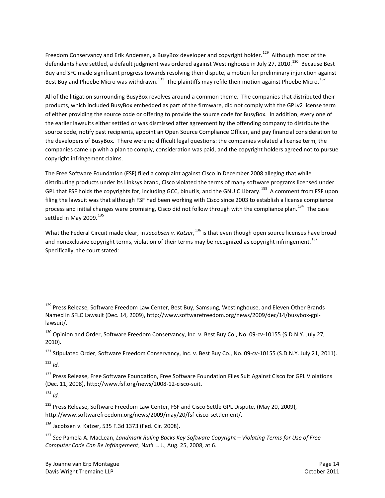Freedom Conservancy and Erik Andersen, a BusyBox developer and copyright holder.<sup>129</sup> Although most of the defendants have settled, a default judgment was ordered against Westinghouse in July 27, 2010.<sup>130</sup> Because Best Buy and SFC made significant progress towards resolving their dispute, a motion for preliminary injunction against Best Buy and Phoebe Micro was withdrawn.<sup>[131](#page-14-1)</sup> The plaintiffs may refile their motion against Phoebe Micro.<sup>[132](#page-14-2)</sup>

All of the litigation surrounding BusyBox revolves around a common theme. The companies that distributed their products, which included BusyBox embedded as part of the firmware, did not comply with the GPLv2 license term of either providing the source code or offering to provide the source code for BusyBox. In addition, every one of the earlier lawsuits either settled or was dismissed after agreement by the offending company to distribute the source code, notify past recipients, appoint an Open Source Compliance Officer, and pay financial consideration to the developers of BusyBox. There were no difficult legal questions: the companies violated a license term, the companies came up with a plan to comply, consideration was paid, and the copyright holders agreed not to pursue copyright infringement claims.

The Free Software Foundation (FSF) filed a complaint against Cisco in December 2008 alleging that while distributing products under its Linksys brand, Cisco violated the terms of many software programs licensed under GPL that FSF holds the copyrights for, including GCC, binutils, and the GNU C Library.<sup>[133](#page-14-3)</sup> A comment from FSF upon filing the lawsuit was that although FSF had been working with Cisco since 2003 to establish a license compliance process and initial changes were promising, Cisco did not follow through with the compliance plan.<sup>[134](#page-14-4)</sup> The case settled in May 2009.<sup>[135](#page-14-5)</sup>

What the Federal Circuit made clear, in *Jacobsen v. Katzer*, <sup>[136](#page-14-6)</sup> is that even though open source licenses have broad and nonexclusive copyright terms, violation of their terms may be recognized as copyright infringement.<sup>[137](#page-14-7)</sup> Specifically, the court stated:

<span id="page-14-4"></span> $134$  *Id.* 

<sup>&</sup>lt;sup>129</sup> Press Release, Software Freedom Law Center, Best Buy, Samsung, Westinghouse, and Eleven Other Brands Named in SFLC Lawsuit (Dec. 14, 2009), http://www.softwarefreedom.org/news/2009/dec/14/busybox-gpllawsuit/.

<span id="page-14-8"></span><span id="page-14-0"></span><sup>&</sup>lt;sup>130</sup> Opinion and Order, Software Freedom Conservancy, Inc. v. Best Buy Co., No. 09-cv-10155 (S.D.N.Y. July 27, 2010).

<span id="page-14-1"></span><sup>&</sup>lt;sup>131</sup> Stipulated Order, Software Freedom Conservancy, Inc. v. Best Buy Co., No. 09-cv-10155 (S.D.N.Y. July 21, 2011). <sup>132</sup> *Id.*

<span id="page-14-3"></span><span id="page-14-2"></span><sup>&</sup>lt;sup>133</sup> Press Release, Free Software Foundation, Free Software Foundation Files Suit Against Cisco for GPL Violations (Dec. 11, 2008), http://www.fsf.org/news/2008-12-cisco-suit.

<span id="page-14-5"></span><sup>&</sup>lt;sup>135</sup> Press Release, Software Freedom Law Center, FSF and Cisco Settle GPL Dispute, (May 20, 2009), http://www.softwarefreedom.org/news/2009/may/20/fsf-cisco-settlement/.

<span id="page-14-6"></span><sup>136</sup> Jacobsen v. Katzer, 535 F.3d 1373 (Fed. Cir. 2008).

<span id="page-14-7"></span><sup>137</sup> *See* Pamela A. MacLean, *Landmark Ruling Backs Key Software Copyright – Violating Terms for Use of Free Computer Code Can Be Infringement*, NAT'L L. J., Aug. 25, 2008, at 6.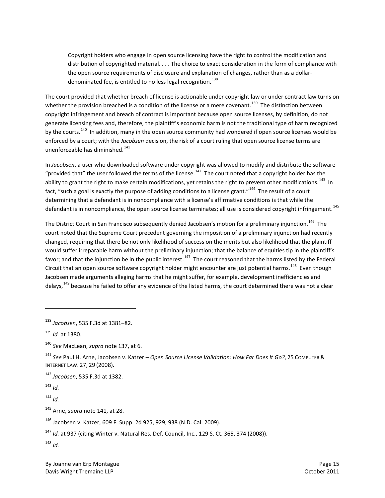Copyright holders who engage in open source licensing have the right to control the modification and distribution of copyrighted material. . . . The choice to exact consideration in the form of compliance with the open source requirements of disclosure and explanation of changes, rather than as a dollardenominated fee, is entitled to no less legal recognition.<sup>138</sup>

The court provided that whether breach of license is actionable under copyright law or under contract law turns on whether the provision breached is a condition of the license or a mere covenant.<sup>139</sup> The distinction between copyright infringement and breach of contract is important because open source licenses, by definition, do not generate licensing fees and, therefore, the plaintiff's economic harm is not the traditional type of harm recognized by the courts.<sup>[140](#page-15-1)</sup> In addition, many in the open source community had wondered if open source licenses would be enforced by a court; with the *Jacobsen* decision, the risk of a court ruling that open source license terms are unenforceable has diminished.<sup>[141](#page-15-2)</sup>

In *Jacobsen*, a user who downloaded software under copyright was allowed to modify and distribute the software "provided that" the user followed the terms of the license.<sup>[142](#page-15-3)</sup> The court noted that a copyright holder has the ability to grant the right to make certain modifications, yet retains the right to prevent other modifications.<sup>[143](#page-15-4)</sup> In fact, "such a goal is exactly the purpose of adding conditions to a license grant."<sup>[144](#page-15-5)</sup> The result of a court determining that a defendant is in noncompliance with a license's affirmative conditions is that while the defendant is in noncompliance, the open source license terminates; all use is considered copyright infringement.<sup>[145](#page-15-6)</sup>

The District Court in San Francisco subsequently denied Jacobsen's motion for a preliminary injunction.<sup>[146](#page-15-7)</sup> The court noted that the Supreme Court precedent governing the imposition of a preliminary injunction had recently changed, requiring that there be not only likelihood of success on the merits but also likelihood that the plaintiff would suffer irreparable harm without the preliminary injunction; that the balance of equities tip in the plaintiff's favor; and that the injunction be in the public interest.<sup>147</sup> The court reasoned that the harms listed by the Federal Circuit that an open source software copyright holder might encounter are just potential harms.<sup>148</sup> Even though Jacobsen made arguments alleging harms that he might suffer, for example, development inefficiencies and delavs.<sup>[149](#page-15-10)</sup> because he failed to offer any evidence of the listed harms, the court determined there was not a clear

<span id="page-15-4"></span><sup>143</sup> *Id.*

 $\overline{a}$ 

<span id="page-15-5"></span><sup>144</sup> *Id.*

<span id="page-15-9"></span><sup>148</sup> *Id.*

<span id="page-15-10"></span><sup>138</sup> *Jacobsen*, 535 F.3d at 1381–82.

<span id="page-15-11"></span><span id="page-15-0"></span><sup>139</sup> *Id.* at 1380.

<span id="page-15-1"></span><sup>140</sup> *See* MacLean, *supra* note 137, at 6.

<span id="page-15-2"></span><sup>141</sup> *See* Paul H. Arne, Jacobsen v. Katzer – *Open Source License Validation: How Far Does It Go?*, 25 COMPUTER & INTERNET LAW. 27, 29 (2008).

<span id="page-15-3"></span><sup>142</sup> *Jacobsen*, 535 F.3d at 1382.

<span id="page-15-6"></span><sup>145</sup> Arne, *supra* note 141, at 28.

<span id="page-15-7"></span><sup>146</sup> Jacobsen v. Katzer, 609 F. Supp. 2d 925, 929, 938 (N.D. Cal. 2009).

<span id="page-15-8"></span><sup>147</sup> *Id.* at 937 (citing Winter v. Natural Res. Def. Council, Inc., 129 S. Ct. 365, 374 (2008)).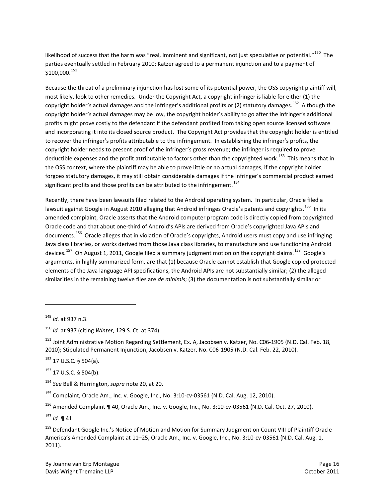likelihood of success that the harm was "real, imminent and significant, not just speculative or potential."<sup>[150](#page-15-11)</sup> The parties eventually settled in February 2010; Katzer agreed to a permanent injunction and to a payment of \$100,000.<sup>[151](#page-16-0)</sup>

Because the threat of a preliminary injunction has lost some of its potential power, the OSS copyright plaintiff will, most likely, look to other remedies. Under the Copyright Act, a copyright infringer is liable for either (1) the copyright holder's actual damages and the infringer's additional profits or (2) statutory damages.<sup>[152](#page-16-1)</sup> Although the copyright holder's actual damages may be low, the copyright holder's ability to go after the infringer's additional profits might prove costly to the defendant if the defendant profited from taking open source licensed software and incorporating it into its closed source product. The Copyright Act provides that the copyright holder is entitled to recover the infringer's profits attributable to the infringement. In establishing the infringer's profits, the copyright holder needs to present proof of the infringer's gross revenue; the infringer is required to prove deductible expenses and the profit attributable to factors other than the copyrighted work.<sup>[153](#page-16-2)</sup> This means that in the OSS context, where the plaintiff may be able to prove little or no actual damages, if the copyright holder forgoes statutory damages, it may still obtain considerable damages if the infringer's commercial product earned significant profits and those profits can be attributed to the infringement.<sup>[154](#page-16-3)</sup>

Recently, there have been lawsuits filed related to the Android operating system. In particular, Oracle filed a lawsuit against Google in August 2010 alleging that Android infringes Oracle's patents and copyrights.<sup>[155](#page-16-4)</sup> In its amended complaint, Oracle asserts that the Android computer program code is directly copied from copyrighted Oracle code and that about one-third of Android's APIs are derived from Oracle's copyrighted Java APIs and documents.[156](#page-16-5) Oracle alleges that in violation of Oracle's copyrights, Android users must copy and use infringing Java class libraries, or works derived from those Java class libraries, to manufacture and use functioning Android devices.<sup>157</sup> On August 1, 2011, Google filed a summary judgment motion on the copyright claims.<sup>[158](#page-16-7)</sup> Google's arguments, in highly summarized form, are that (1) because Oracle cannot establish that Google copied protected elements of the Java language API specifications, the Android APIs are not substantially similar; (2) the alleged similarities in the remaining twelve files are *de minimis*; (3) the documentation is not substantially similar or

 $\overline{a}$ 

<span id="page-16-1"></span><sup>152</sup> 17 U.S.C. § 504(a).

<span id="page-16-2"></span> $153$  17 U.S.C. § 504(b).

<span id="page-16-5"></span><sup>156</sup> Amended Complaint ¶ 40, Oracle Am., Inc. v. Google, Inc., No. 3:10-cv-03561 (N.D. Cal. Oct. 27, 2010).

<span id="page-16-8"></span><span id="page-16-6"></span><sup>157</sup> *Id.* ¶ 41.

<sup>149</sup> *Id.* at 937 n.3.

<sup>150</sup> *Id.* at 937 (citing *Winter*, 129 S. Ct. at 374).

<span id="page-16-0"></span><sup>&</sup>lt;sup>151</sup> Joint Administrative Motion Regarding Settlement, Ex. A, Jacobsen v. Katzer, No. C06-1905 (N.D. Cal. Feb. 18, 2010); Stipulated Permanent Injunction, Jacobsen v. Katzer, No. C06-1905 (N.D. Cal. Feb. 22, 2010).

<span id="page-16-3"></span><sup>154</sup> *See* Bell & Herrington, *supra* note 20, at 20.

<span id="page-16-4"></span><sup>&</sup>lt;sup>155</sup> Complaint, Oracle Am., Inc. v. Google, Inc., No. 3:10-cv-03561 (N.D. Cal. Aug. 12, 2010).

<span id="page-16-7"></span><sup>&</sup>lt;sup>158</sup> Defendant Google Inc.'s Notice of Motion and Motion for Summary Judgment on Count VIII of Plaintiff Oracle America's Amended Complaint at 11–25, Oracle Am., Inc. v. Google, Inc., No. 3:10-cv-03561 (N.D. Cal. Aug. 1, 2011).